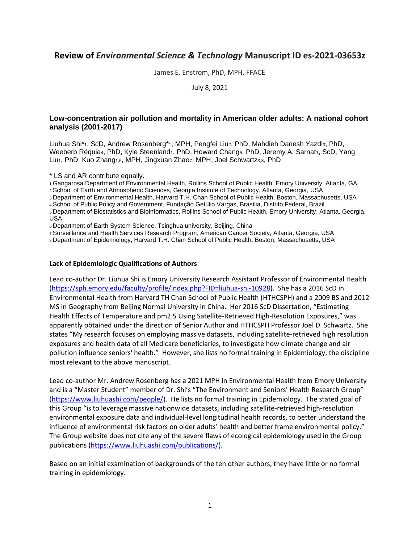# **Review of** *Environmental Science & Technology* **Manuscript ID es-2021-03653z**

James E. Enstrom, PhD, MPH, FFACE

July 8, 2021

### **Low-concentration air pollution and mortality in American older adults: A national cohort analysis (2001-2017)**

Liuhua Shi\*<sub>1</sub>, ScD, Andrew Rosenberg\*<sub>1</sub>, MPH, Pengfei Liu<sub>2</sub>, PhD, Mahdieh Danesh Yazdia, PhD, Weeberb Réquia4, PhD, Kyle Steenland1, PhD, Howard Chang5, PhD, Jeremy A. Sarnat1, ScD, Yang Liu<sub>1</sub>, PhD, Kuo Zhang<sub>1,6</sub>, MPH, Jingxuan Zhaoz, MPH, Joel Schwartz<sub>3,8</sub>, PhD

\* LS and AR contribute equally.

<sup>1</sup>Gangarosa Department of Environmental Health, Rollins School of Public Health, Emory University, Atlanta, GA

<sup>2</sup>School of Earth and Atmospheric Sciences, Georgia Institute of Technology, Atlanta, Georgia, USA

<sup>3</sup>Department of Environmental Health, Harvard T.H. Chan School of Public Health, Boston, Massachusetts, USA

<sup>4</sup>School of Public Policy and Government, Fundação Getúlio Vargas, Brasília, Distrito Federal, Brazil

<sup>5</sup>Department of Biostatistics and Bioinformatics, Rollins School of Public Health, Emory University, Atlanta, Georgia, USA

<sup>6</sup>Department of Earth System Science, Tsinghua university, Beijing, China

<sup>7</sup>Surveillance and Health Services Research Program, American Cancer Society, Atlanta, Georgia, USA

<sup>8</sup>Department of Epidemiology, Harvard T.H. Chan School of Public Health, Boston, Massachusetts, USA

#### **Lack of Epidemiologic Qualifications of Authors**

Lead co-author Dr. Liuhua Shi is Emory University Research Assistant Professor of Environmental Health [\(https://sph.emory.edu/faculty/profile/index.php?FID=liuhua-shi-10928\)](https://sph.emory.edu/faculty/profile/index.php?FID=liuhua-shi-10928). She has a 2016 ScD in Environmental Health from Harvard TH Chan School of Public Health (HTHCSPH) and a 2009 BS and 2012 MS in Geography from Beijing Normal University in China. Her 2016 ScD Dissertation, "Estimating Health Effects of Temperature and pm2.5 Using Satellite-Retrieved High-Resolution Exposures," was apparently obtained under the direction of Senior Author and HTHCSPH Professor Joel D. Schwartz. She states "My research focuses on employing massive datasets, including satellite-retrieved high resolution exposures and health data of all Medicare beneficiaries, to investigate how climate change and air pollution influence seniors' health." However, she lists no formal training in Epidemiology, the discipline most relevant to the above manuscript.

Lead co-author Mr. Andrew Rosenberg has a 2021 MPH in Environmental Health from Emory University and is a "Master Student" member of Dr. Shi's "The Environment and Seniors' Health Research Group" [\(https://www.liuhuashi.com/people/\)](https://www.liuhuashi.com/people/). He lists no formal training in Epidemiology. The stated goal of this Group "is to leverage massive nationwide datasets, including satellite-retrieved high-resolution environmental exposure data and individual-level longitudinal health records, to better understand the influence of environmental risk factors on older adults' health and better frame environmental policy." The Group website does not cite any of the severe flaws of ecological epidemiology used in the Group publications [\(https://www.liuhuashi.com/publications/\)](https://www.liuhuashi.com/publications/).

Based on an initial examination of backgrounds of the ten other authors, they have little or no formal training in epidemiology.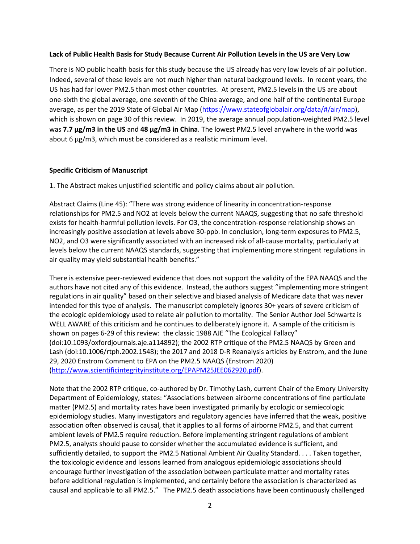### **Lack of Public Health Basis for Study Because Current Air Pollution Levels in the US are Very Low**

There is NO public health basis for this study because the US already has very low levels of air pollution. Indeed, several of these levels are not much higher than natural background levels. In recent years, the US has had far lower PM2.5 than most other countries. At present, PM2.5 levels in the US are about one-sixth the global average, one-seventh of the China average, and one half of the continental Europe average, as per the 2019 State of Global Air Map [\(https://www.stateofglobalair.org/data/#/air/map\)](https://www.stateofglobalair.org/data/#/air/map), which is shown on page 30 of this review. In 2019, the average annual population-weighted PM2.5 level was **7.7 μg/m3 in the US** and **48 μg/m3 in China**. The lowest PM2.5 level anywhere in the world was about 6 μg/m3, which must be considered as a realistic minimum level.

### **Specific Criticism of Manuscript**

1. The Abstract makes unjustified scientific and policy claims about air pollution.

Abstract Claims (Line 45): "There was strong evidence of linearity in concentration-response relationships for PM2.5 and NO2 at levels below the current NAAQS, suggesting that no safe threshold exists for health-harmful pollution levels. For O3, the concentration-response relationship shows an increasingly positive association at levels above 30-ppb. In conclusion, long-term exposures to PM2.5, NO2, and O3 were significantly associated with an increased risk of all-cause mortality, particularly at levels below the current NAAQS standards, suggesting that implementing more stringent regulations in air quality may yield substantial health benefits."

There is extensive peer-reviewed evidence that does not support the validity of the EPA NAAQS and the authors have not cited any of this evidence. Instead, the authors suggest "implementing more stringent regulations in air quality" based on their selective and biased analysis of Medicare data that was never intended for this type of analysis. The manuscript completely ignores 30+ years of severe criticism of the ecologic epidemiology used to relate air pollution to mortality. The Senior Author Joel Schwartz is WELL AWARE of this criticism and he continues to deliberately ignore it. A sample of the criticism is shown on pages 6-29 of this review: the classic 1988 AJE "The Ecological Fallacy" (doi:10.1093/oxfordjournals.aje.a114892); the 2002 RTP critique of the PM2.5 NAAQS by Green and Lash (doi:10.1006/rtph.2002.1548); the 2017 and 2018 D-R Reanalysis articles by Enstrom, and the June 29, 2020 Enstrom Comment to EPA on the PM2.5 NAAQS (Enstrom 2020) [\(http://www.scientificintegrityinstitute.org/EPAPM25JEE062920.pdf\)](http://www.scientificintegrityinstitute.org/EPAPM25JEE062920.pdf).

Note that the 2002 RTP critique, co-authored by Dr. Timothy Lash, current Chair of the Emory University Department of Epidemiology, states: "Associations between airborne concentrations of fine particulate matter (PM2*.*5) and mortality rates have been investigated primarily by ecologic or semiecologic epidemiology studies. Many investigators and regulatory agencies have inferred that the weak, positive association often observed is causal, that it applies to all forms of airborne PM2*.*5, and that current ambient levels of PM2*.*5 require reduction. Before implementing stringent regulations of ambient PM2*.*5, analysts should pause to consider whether the accumulated evidence is sufficient, and sufficiently detailed, to support the PM2*.*5 National Ambient Air Quality Standard. . . . Taken together, the toxicologic evidence and lessons learned from analogous epidemiologic associations should encourage further investigation of the association between particulate matter and mortality rates before additional regulation is implemented, and certainly before the association is characterized as causal and applicable to all PM2*.*5." The PM2.5 death associations have been continuously challenged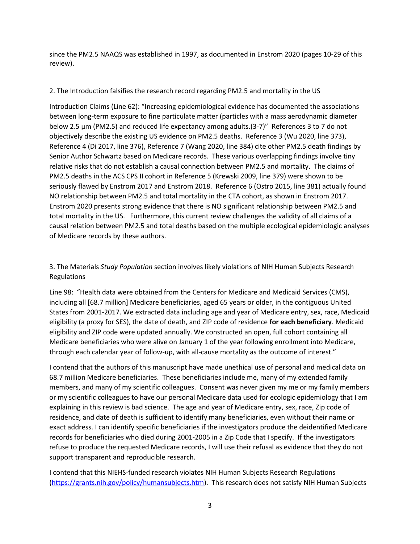since the PM2.5 NAAQS was established in 1997, as documented in Enstrom 2020 (pages 10-29 of this review).

## 2. The Introduction falsifies the research record regarding PM2.5 and mortality in the US

Introduction Claims (Line 62): "Increasing epidemiological evidence has documented the associations between long-term exposure to fine particulate matter (particles with a mass aerodynamic diameter below 2.5 μm (PM2.5) and reduced life expectancy among adults.(3-7)" References 3 to 7 do not objectively describe the existing US evidence on PM2.5 deaths. Reference 3 (Wu 2020, line 373), Reference 4 (Di 2017, line 376), Reference 7 (Wang 2020, line 384) cite other PM2.5 death findings by Senior Author Schwartz based on Medicare records. These various overlapping findings involve tiny relative risks that do not establish a causal connection between PM2.5 and mortality. The claims of PM2.5 deaths in the ACS CPS II cohort in Reference 5 (Krewski 2009, line 379) were shown to be seriously flawed by Enstrom 2017 and Enstrom 2018. Reference 6 (Ostro 2015, line 381) actually found NO relationship between PM2.5 and total mortality in the CTA cohort, as shown in Enstrom 2017. Enstrom 2020 presents strong evidence that there is NO significant relationship between PM2.5 and total mortality in the US. Furthermore, this current review challenges the validity of all claims of a causal relation between PM2.5 and total deaths based on the multiple ecological epidemiologic analyses of Medicare records by these authors.

3. The Materials *Study Population* section involves likely violations of NIH Human Subjects Research Regulations

Line 98: "Health data were obtained from the Centers for Medicare and Medicaid Services (CMS), including all [68.7 million] Medicare beneficiaries, aged 65 years or older, in the contiguous United States from 2001-2017. We extracted data including age and year of Medicare entry, sex, race, Medicaid eligibility (a proxy for SES), the date of death, and ZIP code of residence **for each beneficiary**. Medicaid eligibility and ZIP code were updated annually. We constructed an open, full cohort containing all Medicare beneficiaries who were alive on January 1 of the year following enrollment into Medicare, through each calendar year of follow-up, with all-cause mortality as the outcome of interest."

I contend that the authors of this manuscript have made unethical use of personal and medical data on 68.7 million Medicare beneficiaries. These beneficiaries include me, many of my extended family members, and many of my scientific colleagues. Consent was never given my me or my family members or my scientific colleagues to have our personal Medicare data used for ecologic epidemiology that I am explaining in this review is bad science. The age and year of Medicare entry, sex, race, Zip code of residence, and date of death is sufficient to identify many beneficiaries, even without their name or exact address. I can identify specific beneficiaries if the investigators produce the deidentified Medicare records for beneficiaries who died during 2001-2005 in a Zip Code that I specify. If the investigators refuse to produce the requested Medicare records, I will use their refusal as evidence that they do not support transparent and reproducible research.

I contend that this NIEHS-funded research violates NIH Human Subjects Research Regulations [\(https://grants.nih.gov/policy/humansubjects.htm\)](https://grants.nih.gov/policy/humansubjects.htm). This research does not satisfy NIH Human Subjects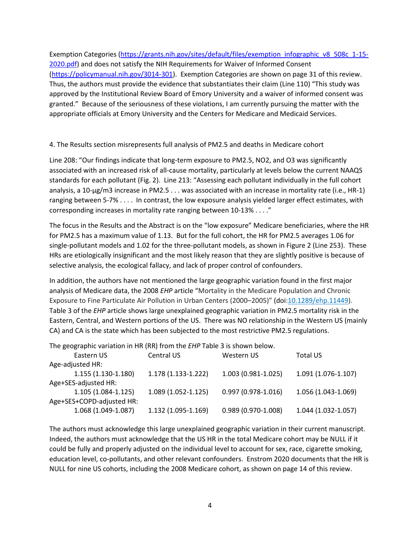Exemption Categories [\(https://grants.nih.gov/sites/default/files/exemption\\_infographic\\_v8\\_508c\\_1-15-](https://grants.nih.gov/sites/default/files/exemption_infographic_v8_508c_1-15-2020.pdf) [2020.pdf\)](https://grants.nih.gov/sites/default/files/exemption_infographic_v8_508c_1-15-2020.pdf) and does not satisfy the NIH Requirements for Waiver of Informed Consent [\(https://policymanual.nih.gov/3014-301\)](https://policymanual.nih.gov/3014-301). Exemption Categories are shown on page 31 of this review. Thus, the authors must provide the evidence that substantiates their claim (Line 110) "This study was approved by the Institutional Review Board of Emory University and a waiver of informed consent was granted." Because of the seriousness of these violations, I am currently pursuing the matter with the appropriate officials at Emory University and the Centers for Medicare and Medicaid Services.

4. The Results section misrepresents full analysis of PM2.5 and deaths in Medicare cohort

Line 208: "Our findings indicate that long-term exposure to PM2.5, NO2, and O3 was significantly associated with an increased risk of all-cause mortality, particularly at levels below the current NAAQS standards for each pollutant (Fig. 2). Line 213: "Assessing each pollutant individually in the full cohort analysis, a 10-μg/m3 increase in PM2.5 . . . was associated with an increase in mortality rate (i.e., HR-1) ranging between 5-7% . . . . In contrast, the low exposure analysis yielded larger effect estimates, with corresponding increases in mortality rate ranging between 10-13% . . . ."

The focus in the Results and the Abstract is on the "low exposure" Medicare beneficiaries, where the HR for PM2.5 has a maximum value of 1.13. But for the full cohort, the HR for PM2.5 averages 1.06 for single-pollutant models and 1.02 for the three-pollutant models, as shown in Figure 2 (Line 253). These HRs are etiologically insignificant and the most likely reason that they are slightly positive is because of selective analysis, the ecological fallacy, and lack of proper control of confounders.

In addition, the authors have not mentioned the large geographic variation found in the first major analysis of Medicare data, the 2008 *EHP* article "Mortality in the Medicare Population and Chronic Exposure to Fine Particulate Air Pollution in Urban Centers (2000–2005)" (doi[:10.1289/ehp.11449\)](https://doi.org/10.1289/ehp.11449). Table 3 of the *EHP* article shows large unexplained geographic variation in PM2.5 mortality risk in the Eastern, Central, and Western portions of the US. There was NO relationship in the Western US (mainly CA) and CA is the state which has been subjected to the most restrictive PM2.5 regulations.

The geographic variation in HR (RR) from the *EHP* Table 3 is shown below.

| Eastern US                | Central US          | Western US           | <b>Total US</b>     |
|---------------------------|---------------------|----------------------|---------------------|
| Age-adjusted HR:          |                     |                      |                     |
| $1.155(1.130-1.180)$      | 1.178 (1.133-1.222) | 1.003 (0.981-1.025)  | 1.091 (1.076-1.107) |
| Age+SES-adjusted HR:      |                     |                      |                     |
| $1.105(1.084-1.125)$      | 1.089 (1.052-1.125) | $0.997(0.978-1.016)$ | 1.056 (1.043-1.069) |
| Age+SES+COPD-adjusted HR: |                     |                      |                     |
| 1.068 (1.049-1.087)       | 1.132 (1.095-1.169) | 0.989 (0.970-1.008)  | 1.044 (1.032-1.057) |

The authors must acknowledge this large unexplained geographic variation in their current manuscript. Indeed, the authors must acknowledge that the US HR in the total Medicare cohort may be NULL if it could be fully and properly adjusted on the individual level to account for sex, race, cigarette smoking, education level, co-pollutants, and other relevant confounders. Enstrom 2020 documents that the HR is NULL for nine US cohorts, including the 2008 Medicare cohort, as shown on page 14 of this review.